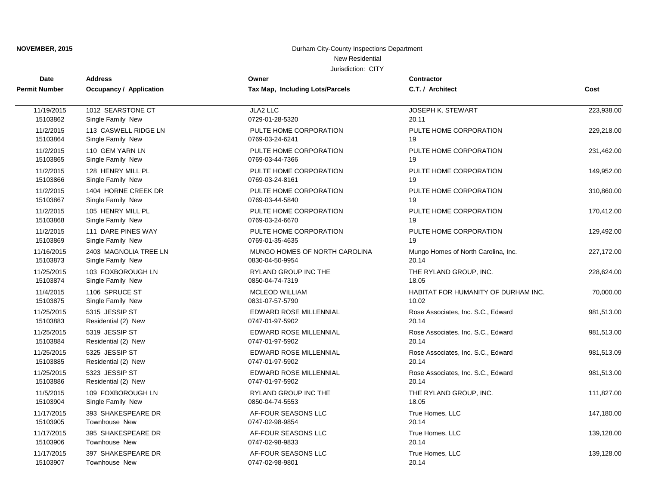| <b>Date</b>          | <b>Address</b>                 | Owner                           | <b>Contractor</b>                   |            |
|----------------------|--------------------------------|---------------------------------|-------------------------------------|------------|
| <b>Permit Number</b> | <b>Occupancy / Application</b> | Tax Map, Including Lots/Parcels | C.T. / Architect                    | Cost       |
| 11/19/2015           | 1012 SEARSTONE CT              | JLA2 LLC                        | <b>JOSEPH K. STEWART</b>            | 223,938.00 |
| 15103862             | Single Family New              | 0729-01-28-5320                 | 20.11                               |            |
| 11/2/2015            | 113 CASWELL RIDGE LN           | PULTE HOME CORPORATION          | PULTE HOME CORPORATION              | 229,218.00 |
| 15103864             | Single Family New              | 0769-03-24-6241                 | 19                                  |            |
| 11/2/2015            | 110 GEM YARN LN                | PULTE HOME CORPORATION          | PULTE HOME CORPORATION              | 231,462.00 |
| 15103865             | Single Family New              | 0769-03-44-7366                 | 19                                  |            |
| 11/2/2015            | 128 HENRY MILL PL              | PULTE HOME CORPORATION          | PULTE HOME CORPORATION              | 149,952.00 |
| 15103866             | Single Family New              | 0769-03-24-8161                 | 19                                  |            |
| 11/2/2015            | 1404 HORNE CREEK DR            | PULTE HOME CORPORATION          | PULTE HOME CORPORATION              | 310,860.00 |
| 15103867             | Single Family New              | 0769-03-44-5840                 | 19                                  |            |
| 11/2/2015            | 105 HENRY MILL PL              | PULTE HOME CORPORATION          | PULTE HOME CORPORATION              | 170,412.00 |
| 15103868             | Single Family New              | 0769-03-24-6670                 | 19                                  |            |
| 11/2/2015            | 111 DARE PINES WAY             | PULTE HOME CORPORATION          | PULTE HOME CORPORATION              | 129,492.00 |
| 15103869             | Single Family New              | 0769-01-35-4635                 | 19                                  |            |
| 11/16/2015           | 2403 MAGNOLIA TREE LN          | MUNGO HOMES OF NORTH CAROLINA   | Mungo Homes of North Carolina, Inc. | 227,172.00 |
| 15103873             | Single Family New              | 0830-04-50-9954                 | 20.14                               |            |
| 11/25/2015           | 103 FOXBOROUGH LN              | RYLAND GROUP INC THE            | THE RYLAND GROUP, INC.              | 228,624.00 |
| 15103874             | Single Family New              | 0850-04-74-7319                 | 18.05                               |            |
| 11/4/2015            | 1106 SPRUCE ST                 | <b>MCLEOD WILLIAM</b>           | HABITAT FOR HUMANITY OF DURHAM INC. | 70,000.00  |
| 15103875             | Single Family New              | 0831-07-57-5790                 | 10.02                               |            |
| 11/25/2015           | 5315 JESSIP ST                 | <b>EDWARD ROSE MILLENNIAL</b>   | Rose Associates, Inc. S.C., Edward  | 981,513.00 |
| 15103883             | Residential (2) New            | 0747-01-97-5902                 | 20.14                               |            |
| 11/25/2015           | 5319 JESSIP ST                 | <b>EDWARD ROSE MILLENNIAL</b>   | Rose Associates, Inc. S.C., Edward  | 981,513.00 |
| 15103884             | Residential (2) New            | 0747-01-97-5902                 | 20.14                               |            |
| 11/25/2015           | 5325 JESSIP ST                 | EDWARD ROSE MILLENNIAL          | Rose Associates, Inc. S.C., Edward  | 981,513.09 |
| 15103885             | Residential (2) New            | 0747-01-97-5902                 | 20.14                               |            |
| 11/25/2015           | 5323 JESSIP ST                 | <b>EDWARD ROSE MILLENNIAL</b>   | Rose Associates, Inc. S.C., Edward  | 981,513.00 |
| 15103886             | Residential (2) New            | 0747-01-97-5902                 | 20.14                               |            |
| 11/5/2015            | 109 FOXBOROUGH LN              | RYLAND GROUP INC THE            | THE RYLAND GROUP, INC.              | 111,827.00 |
| 15103904             | Single Family New              | 0850-04-74-5553                 | 18.05                               |            |
| 11/17/2015           | 393 SHAKESPEARE DR             | AF-FOUR SEASONS LLC             | True Homes, LLC                     | 147,180.00 |
| 15103905             | Townhouse New                  | 0747-02-98-9854                 | 20.14                               |            |
| 11/17/2015           | 395 SHAKESPEARE DR             | AF-FOUR SEASONS LLC             | True Homes, LLC                     | 139,128.00 |
| 15103906             | Townhouse New                  | 0747-02-98-9833                 | 20.14                               |            |
| 11/17/2015           | 397 SHAKESPEARE DR             | AF-FOUR SEASONS LLC             | True Homes, LLC                     | 139,128.00 |
| 15103907             | Townhouse New                  | 0747-02-98-9801                 | 20.14                               |            |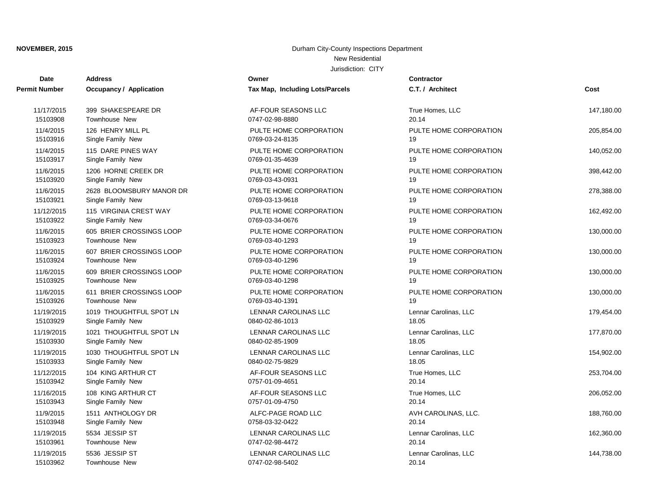| Date                 | <b>Address</b>                 | Owner                           | <b>Contractor</b>      |            |
|----------------------|--------------------------------|---------------------------------|------------------------|------------|
| <b>Permit Number</b> | <b>Occupancy / Application</b> | Tax Map, Including Lots/Parcels | C.T. / Architect       | Cost       |
| 11/17/2015           | 399 SHAKESPEARE DR             | AF-FOUR SEASONS LLC             | True Homes, LLC        | 147,180.00 |
| 15103908             | <b>Townhouse New</b>           | 0747-02-98-8880                 | 20.14                  |            |
| 11/4/2015            | 126 HENRY MILL PL              | PULTE HOME CORPORATION          | PULTE HOME CORPORATION | 205,854.00 |
| 15103916             | Single Family New              | 0769-03-24-8135                 | 19                     |            |
| 11/4/2015            | 115 DARE PINES WAY             | PULTE HOME CORPORATION          | PULTE HOME CORPORATION | 140,052.00 |
| 15103917             | Single Family New              | 0769-01-35-4639                 | 19                     |            |
| 11/6/2015            | 1206 HORNE CREEK DR            | PULTE HOME CORPORATION          | PULTE HOME CORPORATION | 398,442.00 |
| 15103920             | Single Family New              | 0769-03-43-0931                 | 19                     |            |
| 11/6/2015            | 2628 BLOOMSBURY MANOR DR       | PULTE HOME CORPORATION          | PULTE HOME CORPORATION | 278,388.00 |
| 15103921             | Single Family New              | 0769-03-13-9618                 | 19                     |            |
| 11/12/2015           | 115 VIRGINIA CREST WAY         | PULTE HOME CORPORATION          | PULTE HOME CORPORATION | 162,492.00 |
| 15103922             | Single Family New              | 0769-03-34-0676                 | 19                     |            |
| 11/6/2015            | 605 BRIER CROSSINGS LOOP       | PULTE HOME CORPORATION          | PULTE HOME CORPORATION | 130,000.00 |
| 15103923             | Townhouse New                  | 0769-03-40-1293                 | 19                     |            |
| 11/6/2015            | 607 BRIER CROSSINGS LOOP       | PULTE HOME CORPORATION          | PULTE HOME CORPORATION | 130,000.00 |
| 15103924             | <b>Townhouse New</b>           | 0769-03-40-1296                 | 19                     |            |
| 11/6/2015            | 609 BRIER CROSSINGS LOOP       | PULTE HOME CORPORATION          | PULTE HOME CORPORATION | 130,000.00 |
| 15103925             | <b>Townhouse New</b>           | 0769-03-40-1298                 | 19                     |            |
| 11/6/2015            | 611 BRIER CROSSINGS LOOP       | PULTE HOME CORPORATION          | PULTE HOME CORPORATION | 130,000.00 |
| 15103926             | <b>Townhouse New</b>           | 0769-03-40-1391                 | 19                     |            |
| 11/19/2015           | 1019 THOUGHTFUL SPOT LN        | LENNAR CAROLINAS LLC            | Lennar Carolinas, LLC  | 179,454.00 |
| 15103929             | Single Family New              | 0840-02-86-1013                 | 18.05                  |            |
| 11/19/2015           | 1021 THOUGHTFUL SPOT LN        | LENNAR CAROLINAS LLC            | Lennar Carolinas, LLC  | 177,870.00 |
| 15103930             | Single Family New              | 0840-02-85-1909                 | 18.05                  |            |
| 11/19/2015           | 1030 THOUGHTFUL SPOT LN        | LENNAR CAROLINAS LLC            | Lennar Carolinas, LLC  | 154,902.00 |
| 15103933             | Single Family New              | 0840-02-75-9829                 | 18.05                  |            |
| 11/12/2015           | 104 KING ARTHUR CT             | AF-FOUR SEASONS LLC             | True Homes, LLC        | 253,704.00 |
| 15103942             | Single Family New              | 0757-01-09-4651                 | 20.14                  |            |
| 11/16/2015           | 108 KING ARTHUR CT             | AF-FOUR SEASONS LLC             | True Homes, LLC        | 206,052.00 |
| 15103943             | Single Family New              | 0757-01-09-4750                 | 20.14                  |            |
| 11/9/2015            | 1511 ANTHOLOGY DR              | ALFC-PAGE ROAD LLC              | AVH CAROLINAS, LLC.    | 188,760.00 |
| 15103948             | Single Family New              | 0758-03-32-0422                 | 20.14                  |            |
| 11/19/2015           | 5534 JESSIP ST                 | LENNAR CAROLINAS LLC            | Lennar Carolinas, LLC  | 162,360.00 |
| 15103961             | Townhouse New                  | 0747-02-98-4472                 | 20.14                  |            |
| 11/19/2015           | 5536 JESSIP ST                 | <b>LENNAR CAROLINAS LLC</b>     | Lennar Carolinas, LLC  | 144,738.00 |
| 15103962             | <b>Townhouse New</b>           | 0747-02-98-5402                 | 20.14                  |            |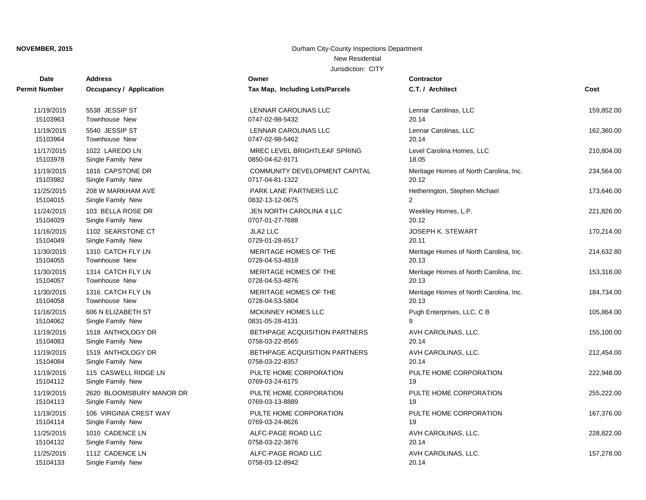| Date                 | <b>Address</b>                 | Owner                           | Contractor                             |            |
|----------------------|--------------------------------|---------------------------------|----------------------------------------|------------|
| <b>Permit Number</b> | <b>Occupancy / Application</b> | Tax Map, Including Lots/Parcels | C.T. / Architect                       | Cost       |
| 11/19/2015           | 5538 JESSIP ST                 | LENNAR CAROLINAS LLC            | Lennar Carolinas, LLC                  | 159,852.00 |
| 15103963             | <b>Townhouse New</b>           | 0747-02-98-5432                 | 20.14                                  |            |
| 11/19/2015           | 5540 JESSIP ST                 | LENNAR CAROLINAS LLC            | Lennar Carolinas, LLC                  | 162,360.00 |
| 15103964             | Townhouse New                  | 0747-02-98-5462                 | 20.14                                  |            |
| 11/17/2015           | 1022 LAREDO LN                 | MREC LEVEL BRIGHTLEAF SPRING    | Level Carolina Homes, LLC              | 210,804.00 |
| 15103978             | Single Family New              | 0850-04-62-9171                 | 18.05                                  |            |
| 11/19/2015           | 1816 CAPSTONE DR               | COMMUNITY DEVELOPMENT CAPITAL   | Meritage Homes of North Carolina, Inc. | 234,564.00 |
| 15103982             | Single Family New              | 0717-04-81-1322                 | 20.12                                  |            |
| 11/25/2015           | 208 W MARKHAM AVE              | PARK LANE PARTNERS LLC          | Hetherington, Stephen Michael          | 173,646.00 |
| 15104015             | Single Family New              | 0832-13-12-0675                 | $\overline{2}$                         |            |
| 11/24/2015           | 103 BELLA ROSE DR              | JEN NORTH CAROLINA 4 LLC        | Weekley Homes, L.P.                    | 221,826.00 |
| 15104029             | Single Family New              | 0707-01-27-7688                 | 20.12                                  |            |
| 11/16/2015           | 1102 SEARSTONE CT              | JLA2 LLC                        | <b>JOSEPH K. STEWART</b>               | 170,214.00 |
| 15104049             | Single Family New              | 0729-01-28-6517                 | 20.11                                  |            |
| 11/30/2015           | 1310 CATCH FLY LN              | MERITAGE HOMES OF THE           | Meritage Homes of North Carolina, Inc. | 214,632.80 |
| 15104055             | Townhouse New                  | 0728-04-53-4818                 | 20.13                                  |            |
| 11/30/2015           | 1314 CATCH FLY LN              | MERITAGE HOMES OF THE           | Meritage Homes of North Carolina, Inc. | 153,318.00 |
| 15104057             | <b>Townhouse New</b>           | 0728-04-53-4876                 | 20.13                                  |            |
| 11/30/2015           | 1316 CATCH FLY LN              | MERITAGE HOMES OF THE           | Meritage Homes of North Carolina, Inc. | 184,734.00 |
| 15104058             | Townhouse New                  | 0728-04-53-5804                 | 20.13                                  |            |
| 11/16/2015           | 606 N ELIZABETH ST             | <b>MCKINNEY HOMES LLC</b>       | Pugh Enterprises, LLC, C B             | 105,864.00 |
| 15104062             | Single Family New              | 0831-05-28-4131                 | 9                                      |            |
| 11/19/2015           | 1518 ANTHOLOGY DR              | BETHPAGE ACQUISITION PARTNERS   | AVH CAROLINAS, LLC.                    | 155,100.00 |
| 15104083             | Single Family New              | 0758-03-22-8565                 | 20.14                                  |            |
| 11/19/2015           | 1519 ANTHOLOGY DR              | BETHPAGE ACQUISITION PARTNERS   | AVH CAROLINAS, LLC.                    | 212,454.00 |
| 15104084             | Single Family New              | 0758-03-22-8357                 | 20.14                                  |            |
| 11/19/2015           | 115 CASWELL RIDGE LN           | PULTE HOME CORPORATION          | PULTE HOME CORPORATION                 | 222,948.00 |
| 15104112             | Single Family New              | 0769-03-24-6175                 | 19                                     |            |
| 11/19/2015           | 2620 BLOOMSBURY MANOR DR       | PULTE HOME CORPORATION          | PULTE HOME CORPORATION                 | 255,222.00 |
| 15104113             | Single Family New              | 0769-03-13-8889                 | 19                                     |            |
| 11/19/2015           | 106 VIRGINIA CREST WAY         | PULTE HOME CORPORATION          | PULTE HOME CORPORATION                 | 167,376.00 |
| 15104114             | Single Family New              | 0769-03-24-8626                 | 19                                     |            |
| 11/25/2015           | 1010 CADENCE LN                | ALFC-PAGE ROAD LLC              | AVH CAROLINAS, LLC.                    | 228,822.00 |
| 15104132             | Single Family New              | 0758-03-22-3876                 | 20.14                                  |            |
| 11/25/2015           | 1112 CADENCE LN                | ALFC-PAGE ROAD LLC              | AVH CAROLINAS, LLC.                    | 157,278.00 |
| 15104133             | Single Family New              | 0758-03-12-8942                 | 20.14                                  |            |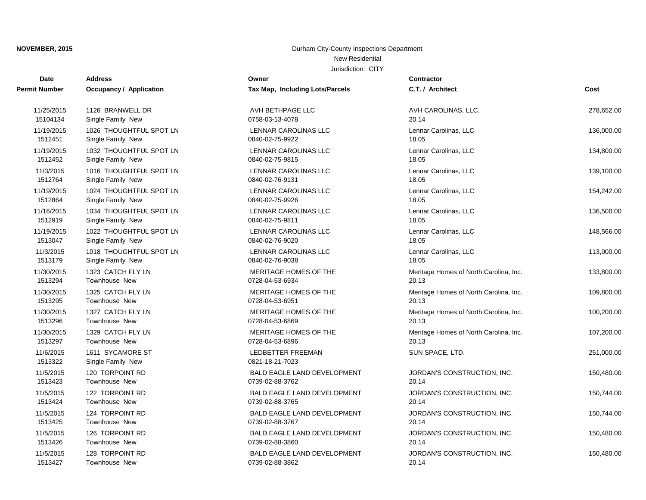| <b>Date</b>          | <b>Address</b>                        | Owner                                       | <b>Contractor</b>                      |            |
|----------------------|---------------------------------------|---------------------------------------------|----------------------------------------|------------|
| <b>Permit Number</b> | Occupancy / Application               | Tax Map, Including Lots/Parcels             | C.T. / Architect                       | Cost       |
| 11/25/2015           | 1126 BRANWELL DR                      | AVH BETHPAGE LLC                            | AVH CAROLINAS, LLC.                    | 278,652.00 |
| 15104134             | Single Family New                     | 0758-03-13-4078                             | 20.14                                  |            |
| 11/19/2015           | 1026 THOUGHTFUL SPOT LN               | LENNAR CAROLINAS LLC                        | Lennar Carolinas, LLC                  | 136,000.00 |
| 1512451              | Single Family New                     | 0840-02-75-9922                             | 18.05                                  |            |
| 11/19/2015           | 1032 THOUGHTFUL SPOT LN               | <b>LENNAR CAROLINAS LLC</b>                 | Lennar Carolinas, LLC                  | 134,800.00 |
| 1512452              | Single Family New                     | 0840-02-75-9815                             | 18.05                                  |            |
| 11/3/2015            | 1016 THOUGHTFUL SPOT LN               | LENNAR CAROLINAS LLC                        | Lennar Carolinas, LLC                  | 139,100.00 |
| 1512764              | Single Family New                     | 0840-02-76-9131                             | 18.05                                  |            |
| 11/19/2015           | 1024 THOUGHTFUL SPOT LN               | <b>LENNAR CAROLINAS LLC</b>                 | Lennar Carolinas, LLC                  | 154,242.00 |
| 1512864              | Single Family New                     | 0840-02-75-9926                             | 18.05                                  |            |
| 11/16/2015           | 1034 THOUGHTFUL SPOT LN               | LENNAR CAROLINAS LLC                        | Lennar Carolinas, LLC                  | 136,500.00 |
| 1512919              | Single Family New                     | 0840-02-75-9811                             | 18.05                                  |            |
| 11/19/2015           | 1022 THOUGHTFUL SPOT LN               | LENNAR CAROLINAS LLC                        | Lennar Carolinas, LLC                  | 148,566.00 |
| 1513047              | Single Family New                     | 0840-02-76-9020                             | 18.05                                  |            |
| 11/3/2015            | 1018 THOUGHTFUL SPOT LN               | LENNAR CAROLINAS LLC                        | Lennar Carolinas, LLC                  | 113,000.00 |
| 1513179              | Single Family New                     | 0840-02-76-9038                             | 18.05                                  |            |
| 11/30/2015           | 1323 CATCH FLY LN                     | MERITAGE HOMES OF THE                       | Meritage Homes of North Carolina, Inc. | 133,800.00 |
| 1513294              | <b>Townhouse New</b>                  | 0728-04-53-6934                             | 20.13                                  |            |
| 11/30/2015           | 1325 CATCH FLY LN                     | MERITAGE HOMES OF THE                       | Meritage Homes of North Carolina, Inc. | 109,800.00 |
| 1513295              | Townhouse New                         | 0728-04-53-6951                             | 20.13                                  |            |
| 11/30/2015           | 1327 CATCH FLY LN                     | MERITAGE HOMES OF THE                       | Meritage Homes of North Carolina, Inc. | 100,200.00 |
| 1513296              | <b>Townhouse New</b>                  | 0728-04-53-6869                             | 20.13                                  |            |
| 11/30/2015           | 1329 CATCH FLY LN                     | MERITAGE HOMES OF THE                       | Meritage Homes of North Carolina, Inc. | 107,200.00 |
| 1513297              | Townhouse New                         | 0728-04-53-6896                             | 20.13                                  |            |
| 11/6/2015<br>1513322 | 1611 SYCAMORE ST<br>Single Family New | <b>LEDBETTER FREEMAN</b><br>0821-18-21-7023 | SUN SPACE, LTD.                        | 251,000.00 |
| 11/5/2015            | 120 TORPOINT RD                       | <b>BALD EAGLE LAND DEVELOPMENT</b>          | JORDAN'S CONSTRUCTION, INC.            | 150,480.00 |
| 1513423              | <b>Townhouse New</b>                  | 0739-02-88-3762                             | 20.14                                  |            |
| 11/5/2015            | 122 TORPOINT RD                       | <b>BALD EAGLE LAND DEVELOPMENT</b>          | JORDAN'S CONSTRUCTION, INC.            | 150,744.00 |
| 1513424              | <b>Townhouse New</b>                  | 0739-02-88-3765                             | 20.14                                  |            |
| 11/5/2015            | 124 TORPOINT RD                       | <b>BALD EAGLE LAND DEVELOPMENT</b>          | JORDAN'S CONSTRUCTION, INC.            | 150,744.00 |
| 1513425              | <b>Townhouse New</b>                  | 0739-02-88-3767                             | 20.14                                  |            |
| 11/5/2015            | 126 TORPOINT RD                       | <b>BALD EAGLE LAND DEVELOPMENT</b>          | JORDAN'S CONSTRUCTION, INC.            | 150,480.00 |
| 1513426              | Townhouse New                         | 0739-02-88-3860                             | 20.14                                  |            |
| 11/5/2015            | 128 TORPOINT RD                       | <b>BALD EAGLE LAND DEVELOPMENT</b>          | JORDAN'S CONSTRUCTION, INC.            | 150,480.00 |
| 1513427              | <b>Townhouse New</b>                  | 0739-02-88-3862                             | 20.14                                  |            |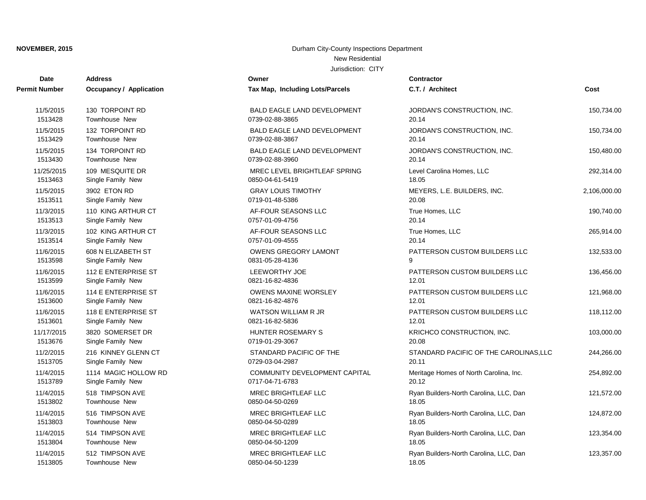| Date          | <b>Address</b>          | Owner                                | <b>Contractor</b>                      |              |
|---------------|-------------------------|--------------------------------------|----------------------------------------|--------------|
| Permit Number | Occupancy / Application | Tax Map, Including Lots/Parcels      | C.T. / Architect                       | Cost         |
| 11/5/2015     | 130 TORPOINT RD         | <b>BALD EAGLE LAND DEVELOPMENT</b>   | JORDAN'S CONSTRUCTION, INC.            | 150,734.00   |
| 1513428       | <b>Townhouse New</b>    | 0739-02-88-3865                      | 20.14                                  |              |
| 11/5/2015     | 132 TORPOINT RD         | <b>BALD EAGLE LAND DEVELOPMENT</b>   | JORDAN'S CONSTRUCTION, INC.            | 150,734.00   |
| 1513429       | <b>Townhouse New</b>    | 0739-02-88-3867                      | 20.14                                  |              |
| 11/5/2015     | 134 TORPOINT RD         | <b>BALD EAGLE LAND DEVELOPMENT</b>   | JORDAN'S CONSTRUCTION, INC.            | 150,480.00   |
| 1513430       | <b>Townhouse New</b>    | 0739-02-88-3960                      | 20.14                                  |              |
| 11/25/2015    | 109 MESQUITE DR         | MREC LEVEL BRIGHTLEAF SPRING         | Level Carolina Homes, LLC              | 292,314.00   |
| 1513463       | Single Family New       | 0850-04-61-5419                      | 18.05                                  |              |
| 11/5/2015     | 3902 ETON RD            | <b>GRAY LOUIS TIMOTHY</b>            | MEYERS, L.E. BUILDERS, INC.            | 2,106,000.00 |
| 1513511       | Single Family New       | 0719-01-48-5386                      | 20.08                                  |              |
| 11/3/2015     | 110 KING ARTHUR CT      | AF-FOUR SEASONS LLC                  | True Homes, LLC                        | 190,740.00   |
| 1513513       | Single Family New       | 0757-01-09-4756                      | 20.14                                  |              |
| 11/3/2015     | 102 KING ARTHUR CT      | AF-FOUR SEASONS LLC                  | True Homes, LLC                        | 265,914.00   |
| 1513514       | Single Family New       | 0757-01-09-4555                      | 20.14                                  |              |
| 11/6/2015     | 608 N ELIZABETH ST      | <b>OWENS GREGORY LAMONT</b>          | PATTERSON CUSTOM BUILDERS LLC          | 132,533.00   |
| 1513598       | Single Family New       | 0831-05-28-4136                      | 9                                      |              |
| 11/6/2015     | 112 E ENTERPRISE ST     | <b>LEEWORTHY JOE</b>                 | PATTERSON CUSTOM BUILDERS LLC          | 136,456.00   |
| 1513599       | Single Family New       | 0821-16-82-4836                      | 12.01                                  |              |
| 11/6/2015     | 114 E ENTERPRISE ST     | <b>OWENS MAXINE WORSLEY</b>          | PATTERSON CUSTOM BUILDERS LLC          | 121,968.00   |
| 1513600       | Single Family New       | 0821-16-82-4876                      | 12.01                                  |              |
| 11/6/2015     | 118 E ENTERPRISE ST     | <b>WATSON WILLIAM R JR</b>           | PATTERSON CUSTOM BUILDERS LLC          | 118,112.00   |
| 1513601       | Single Family New       | 0821-16-82-5836                      | 12.01                                  |              |
| 11/17/2015    | 3820 SOMERSET DR        | <b>HUNTER ROSEMARY S</b>             | KRICHCO CONSTRUCTION, INC.             | 103,000.00   |
| 1513676       | Single Family New       | 0719-01-29-3067                      | 20.08                                  |              |
| 11/2/2015     | 216 KINNEY GLENN CT     | STANDARD PACIFIC OF THE              | STANDARD PACIFIC OF THE CAROLINAS, LLC | 244,266.00   |
| 1513705       | Single Family New       | 0729-03-04-2987                      | 20.11                                  |              |
| 11/4/2015     | 1114 MAGIC HOLLOW RD    | <b>COMMUNITY DEVELOPMENT CAPITAL</b> | Meritage Homes of North Carolina, Inc. | 254,892.00   |
| 1513789       | Single Family New       | 0717-04-71-6783                      | 20.12                                  |              |
| 11/4/2015     | 518 TIMPSON AVE         | <b>MREC BRIGHTLEAF LLC</b>           | Ryan Builders-North Carolina, LLC, Dan | 121,572.00   |
| 1513802       | <b>Townhouse New</b>    | 0850-04-50-0269                      | 18.05                                  |              |
| 11/4/2015     | 516 TIMPSON AVE         | <b>MREC BRIGHTLEAF LLC</b>           | Ryan Builders-North Carolina, LLC, Dan | 124,872.00   |
| 1513803       | <b>Townhouse New</b>    | 0850-04-50-0289                      | 18.05                                  |              |
| 11/4/2015     | 514 TIMPSON AVE         | MREC BRIGHTLEAF LLC                  | Ryan Builders-North Carolina, LLC, Dan | 123,354.00   |
| 1513804       | <b>Townhouse New</b>    | 0850-04-50-1209                      | 18.05                                  |              |
| 11/4/2015     | 512 TIMPSON AVE         | MREC BRIGHTLEAF LLC                  | Ryan Builders-North Carolina, LLC, Dan | 123,357.00   |
| 1513805       | <b>Townhouse New</b>    | 0850-04-50-1239                      | 18.05                                  |              |